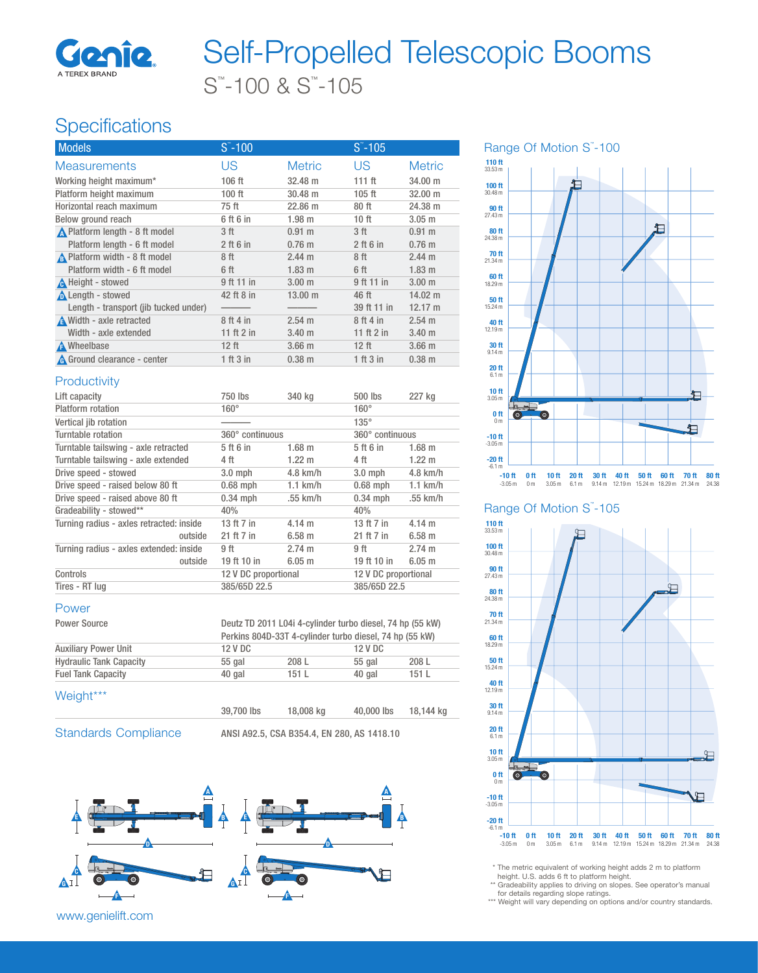

# S™ -100 & S™ -105 Self-Propelled Telescopic Booms

## **Specifications**

| <b>Models</b>                         | $S - 100$    |                     | $S - 105$         |                     |
|---------------------------------------|--------------|---------------------|-------------------|---------------------|
| <b>Measurements</b>                   | US           | <b>Metric</b>       | US                | <b>Metric</b>       |
| Working height maximum*               | $106$ ft     | 32.48 m             | 111 <sub>ft</sub> | 34,00 m             |
| Platform height maximum               | $100$ ft     | $30.48 \text{ m}$   | $105$ ft          | $32.00 \; \text{m}$ |
| Horizontal reach maximum              | 75 ft        | 22.86 m             | 80 ft             | 24.38 m             |
| Below ground reach                    | 6 ft 6 in    | 1.98 m              | 10 ft             | $3.05$ m            |
| ▲ Platform length - 8 ft model        | 3 ft         | $0.91 \;{\rm m}$    | 3 ft              | $0.91 \text{ m}$    |
| Platform length - 6 ft model          | $2$ ft 6 in  | $0.76$ m            | $2$ ft 6 in       | $0.76$ m            |
| A Platform width - 8 ft model         | 8 ft         | $2.44 \text{ m}$    | 8 ft              | $2.44 \text{ m}$    |
| Platform width - 6 ft model           | 6 ft         | $1.83 \; m$         | 6 ft              | 1.83 <sub>m</sub>   |
| A Height - stowed                     | 9 ft 11 in   | $3.00 \;{\rm m}$    | 9 ft 11 in        | 3.00 <sub>m</sub>   |
| Length - stowed                       | 42 ft 8 in   | $13.00 \; \text{m}$ | 46 ft             | $14.02 \text{ m}$   |
| Length - transport (jib tucked under) |              |                     | 39 ft 11 in       | $12.17 \text{ m}$   |
| <b>A</b> Width - axle retracted       | 8 ft 4 in    | $2.54 \text{ m}$    | 8 ft 4 in         | $2.54 \text{ m}$    |
| Width - axle extended                 | 11 ft $2$ in | 3.40 <sub>m</sub>   | 11 ft $2$ in      | 3.40 <sub>m</sub>   |
| A Wheelbase                           | $12$ ft      | $3.66$ m            | $12$ ft           | $3.66$ m            |
| A Ground clearance - center           | 1 ft 3 in    | $0.38 \; m$         | 1 ft 3 in         | $0.38$ m            |
|                                       |              |                     |                   |                     |

#### **Productivity**

| Lift capacity                            |         | 750 lbs              | 340 kg           | 500 lbs              | 227 kg           |
|------------------------------------------|---------|----------------------|------------------|----------------------|------------------|
| Platform rotation                        |         | $160^\circ$          |                  | $160^\circ$          |                  |
| Vertical jib rotation                    |         |                      |                  | $135^\circ$          |                  |
| Turntable rotation                       |         | 360° continuous      |                  | 360° continuous      |                  |
| Turntable tailswing - axle retracted     |         | 5 ft 6 in            | $1.68$ m         | 5 ft 6 in            | $1.68$ m         |
| Turntable tailswing - axle extended      |         | 4 ft                 | $1.22 \text{ m}$ | 4 ft                 | $1.22 \text{ m}$ |
| Drive speed - stowed                     |         | $3.0$ mph            | $4.8$ km/h       | $3.0 \text{ mph}$    | $4.8$ km/h       |
| Drive speed - raised below 80 ft         |         | $0.68$ mph           | $1.1$ km/h       | $0.68$ mph           | $1.1$ km/h       |
| Drive speed - raised above 80 ft         |         | $0.34$ mph           | $.55$ km/h       | $0.34$ mph           | .55 km/h         |
| Gradeability - stowed**                  |         | 40%                  |                  | 40%                  |                  |
| Turning radius - axles retracted: inside |         | 13 ft 7 in           | $4.14 \text{ m}$ | 13 ft 7 in           | $4.14 \text{ m}$ |
|                                          | outside | 21 ft 7 in           | 6.58 m           | 21 ft 7 in           | $6.58$ m         |
| Turning radius - axles extended: inside  |         | 9 ft                 | $2.74 \text{ m}$ | 9 ft                 | $2.74 \text{ m}$ |
|                                          | outside | 19 ft 10 in          | $6.05 \; m$      | 19 ft 10 in          | $6.05$ m         |
| Controls                                 |         | 12 V DC proportional |                  | 12 V DC proportional |                  |
| Tires - RT lug                           |         | 385/65D 22.5         |                  | 385/65D 22.5         |                  |

#### Power

| Power Source                   | Deutz TD 2011 L04i 4-cylinder turbo diesel, 74 hp (55 kW) |       |         |       |  |  |
|--------------------------------|-----------------------------------------------------------|-------|---------|-------|--|--|
|                                | Perkins 804D-33T 4-cylinder turbo diesel, 74 hp (55 kW)   |       |         |       |  |  |
| <b>Auxiliary Power Unit</b>    | 12 V DC                                                   |       | 12 V DC |       |  |  |
| <b>Hydraulic Tank Capacity</b> | $55$ gal                                                  | 208 L | 55 gal  | 208 L |  |  |
| <b>Fuel Tank Capacity</b>      | 40 gal                                                    | 151 L | 40 gal  | 151 L |  |  |
| Weight***                      |                                                           |       |         |       |  |  |

| יי יפי |            |           |            |           |
|--------|------------|-----------|------------|-----------|
|        | 39,700 lbs | 18,008 kg | 40,000 lbs | 18,144 kg |
|        |            |           |            |           |

Standards Compliance ANSI A92.5, CSA B354.4, EN 280, AS 1418.10



www.genielift.com



#### Range Of Motion S"-105



\* The metric equivalent of working height adds 2 m to platform height. U.S. adds 6 ft to platform height.

\*\* Gradeability applies to driving on slopes. See operator's manual

for details regarding slope ratings. \*\*\* Weight will vary depending on options and/or country standards.